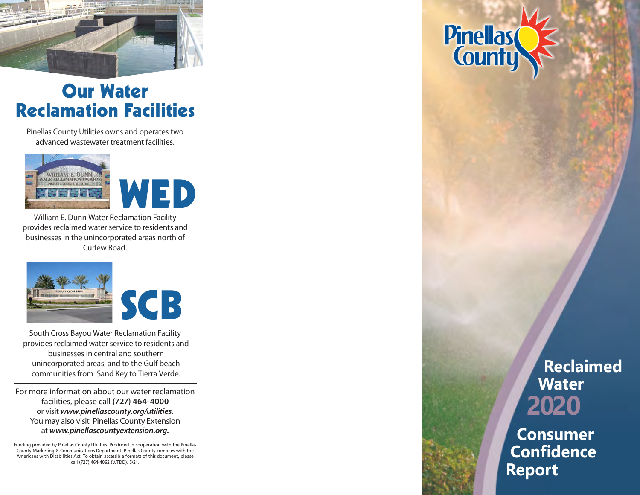

## Our Water Reclamation Facilities

Pinellas County Utilities owns and operates two advanced wastewater treatment facilities.





William E. Dunn Water Reclamation Facility provides reclaimed water service to residents and businesses in the unincorporated areas north of Curlew Road.



South Cross Bayou Water Reclamation Facility provides reclaimed water service to residents and businesses in central an d southern unincorporated areas, and to the Gulf beach communities from Sand Key to Tierra Verde.

For more information about our water reclamation facilities, please call **(727) 464-4000**  or visit *www.pinellascounty.org/utilities.* You may also visit Pinellas County Extension at *www.pinellascountyextension.org.*

Funding provided by Pinellas County Utilities. Produced in cooperation with the Pinellas County Marketing & Communications Department. Pinellas County complies with the Americans with Disabilities Act. To obtain accessible formats of this document, please call (727) 464-4062 (V/TDD). 5/21.

**Pinellas** 

# **Reclaimed Water 2020**

**Consumer Confidence Report**